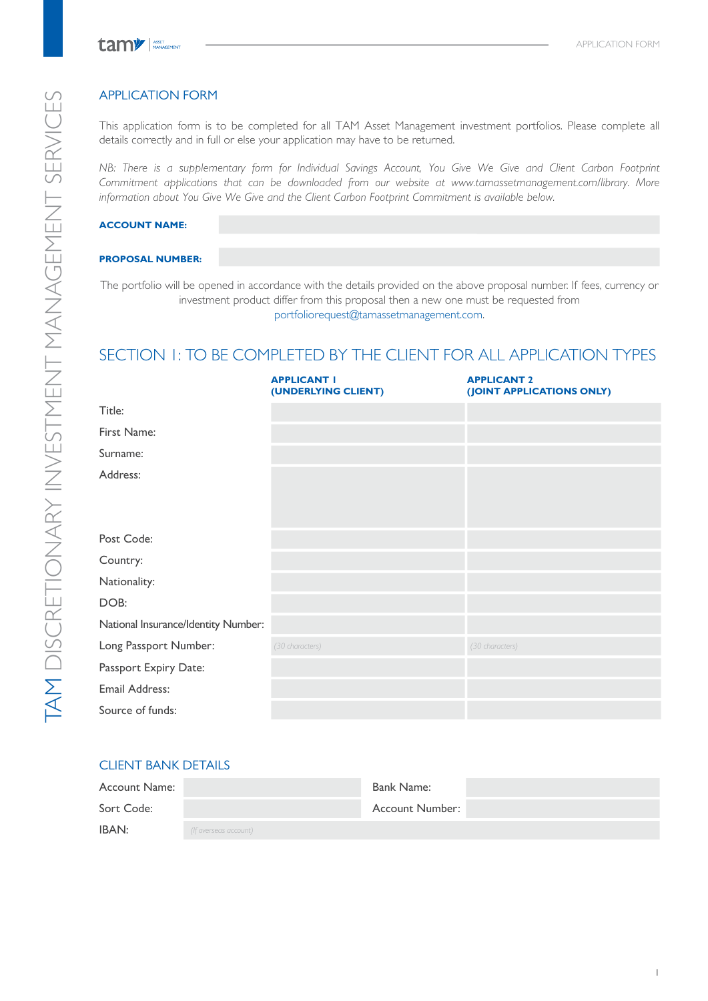# APPLICATION FORM

This application form is to be completed for all TAM Asset Management investment portfolios. Please complete all details correctly and in full or else your application may have to be returned.

NB: There is a supplementary form for Individual Savings Account, You Give We Give and Client Carbon Footprint *Commitment applications that can be downloaded from our website at www.tamassetmanagement.com/library. More information about You Give We Give and the Client Carbon Footprint Commitment is available below.* 

### **ACCOUNT NAME:**

### **PROPOSAL NUMBER:**

The portfolio will be opened in accordance with the details provided on the above proposal number. If fees, currency or investment product differ from this proposal then a new one must be requested from portfoliorequest@tamassetmanagement.com.

# SECTION 1: TO BE COMPLETED BY THE CLIENT FOR ALL APPLICATION TYPES

|                                     | <b>APPLICANT I</b><br>(UNDERLYING CLIENT) | <b>APPLICANT 2</b><br>(JOINT APPLICATIONS ONLY) |
|-------------------------------------|-------------------------------------------|-------------------------------------------------|
| Title:                              |                                           |                                                 |
| First Name:                         |                                           |                                                 |
| Surname:                            |                                           |                                                 |
| Address:                            |                                           |                                                 |
|                                     |                                           |                                                 |
| Post Code:                          |                                           |                                                 |
| Country:                            |                                           |                                                 |
| Nationality:                        |                                           |                                                 |
| DOB:                                |                                           |                                                 |
| National Insurance/Identity Number: |                                           |                                                 |
| Long Passport Number:               | (30 characters)                           | (30 characters)                                 |
| Passport Expiry Date:               |                                           |                                                 |
| Email Address:                      |                                           |                                                 |
| Source of funds:                    |                                           |                                                 |

# CLIENT BANK DETAILS

| Account Name: |                       | Bank Name:      |  |
|---------------|-----------------------|-----------------|--|
| Sort Code:    |                       | Account Number: |  |
| IBAN:         | (If overseas account) |                 |  |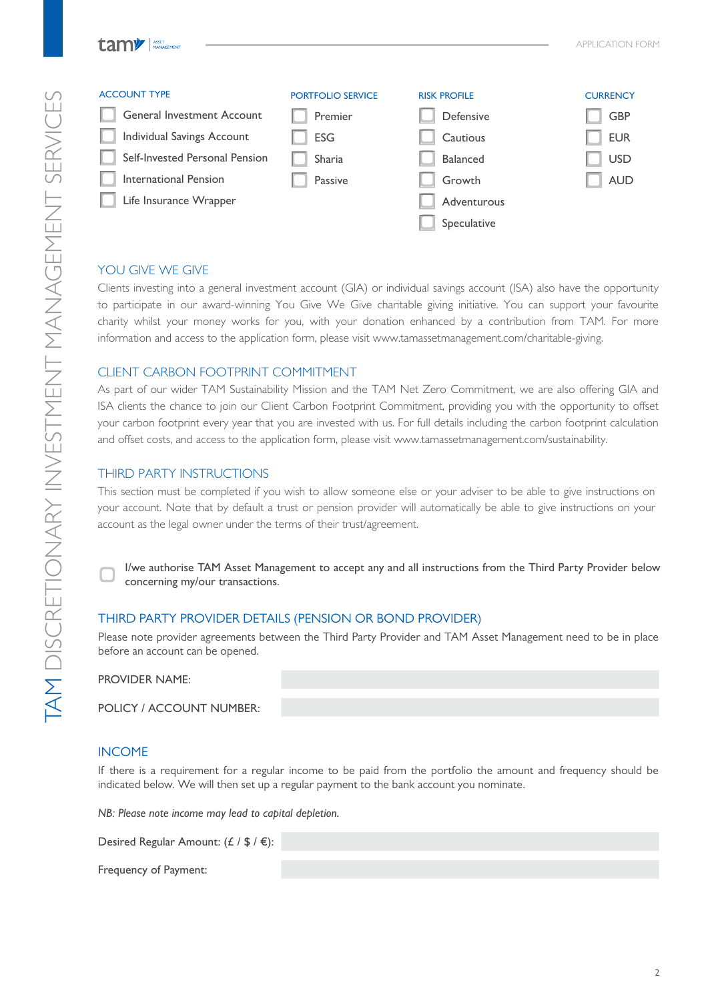| <b>ACCOUNT TYPE</b>            | <b>PORTFOLIO SERVICE</b> | <b>RISK PROFILE</b> | <b>CURRENCY</b> |
|--------------------------------|--------------------------|---------------------|-----------------|
| General Investment Account     | Premier                  | Defensive           | <b>GBP</b>      |
| Individual Savings Account     | <b>ESG</b>               | Cautious            | <b>EUR</b>      |
| Self-Invested Personal Pension | Sharia                   | Balanced            | <b>USD</b>      |
| International Pension          | Passive                  | Growth              | <b>AUD</b>      |
| Life Insurance Wrapper         |                          | Adventurous         |                 |
|                                |                          | Speculative         |                 |
|                                |                          |                     |                 |

# YOU GIVE WE GIVE

Clients investing into a general investment account (GIA) or individual savings account (ISA) also have the opportunity to participate in our award-winning You Give We Give charitable giving initiative. You can support your favourite charity whilst your money works for you, with your donation enhanced by a contribution from TAM. For more information and access to the application form, please visit www.tamassetmanagement.com/charitable-giving.

# CLIENT CARBON FOOTPRINT COMMITMENT

As part of our wider TAM Sustainability Mission and the TAM Net Zero Commitment, we are also offering GIA and ISA clients the chance to join our Client Carbon Footprint Commitment, providing you with the opportunity to offset your carbon footprint every year that you are invested with us. For full details including the carbon footprint calculation and offset costs, and access to the application form, please visit www.tamassetmanagement.com/sustainability.

# THIRD PARTY INSTRUCTIONS

This section must be completed if you wish to allow someone else or your adviser to be able to give instructions on your account. Note that by default a trust or pension provider will automatically be able to give instructions on your account as the legal owner under the terms of their trust/agreement.

I/we authorise TAM Asset Management to accept any and all instructions from the Third Party Provider below concerning my/our transactions. ▢

# THIRD PARTY PROVIDER DETAILS (PENSION OR BOND PROVIDER)

Please note provider agreements between the Third Party Provider and TAM Asset Management need to be in place before an account can be opened.

### PROVIDER NAME:

|  | POLICY / ACCOUNT NUMBER: |  |
|--|--------------------------|--|
|--|--------------------------|--|

# INCOME

If there is a requirement for a regular income to be paid from the portfolio the amount and frequency should be indicated below. We will then set up a regular payment to the bank account you nominate.

*NB: Please note income may lead to capital depletion.*

Desired Regular Amount: (£ / \$ / €):

Frequency of Payment: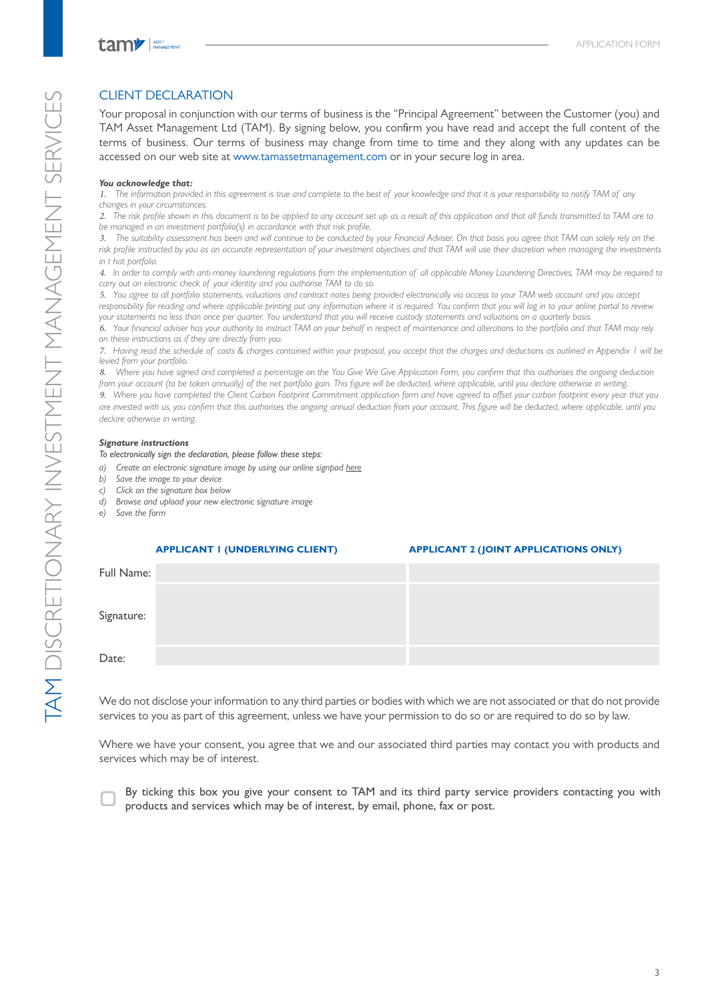# CLIENT DECLARATION

Your proposal in conjunction with our terms of business is the "Principal Agreement" between the Customer (you) and TAM Asset Management Ltd (TAM). By signing below, you confirm you have read and accept the full content of the terms of business. Our terms of business may change from time to time and they along with any updates can be accessed on our web site at www.tamassetmanagement.com or in your secure log in area.

### *You acknowledge that:*

*1. The information provided in this agreement is true and complete to the best of your knowledge and that it is your responsibility to notify TAM of any changes in your circumstances.*

*2. The risk profile shown in this document is to be applied to any account set up as a result of this application and that all funds transmitted to TAM are to be managed in an investment portfolio(s) in accordance with that risk profile.*

*3. The suitability assessment has been and will continue to be conducted by your Financial Adviser. On that basis you agree that TAM can solely rely on the*  risk profile instructed by you as an accurate representation of your investment objectives and that TAM will use their discretion when managing the investments *in t hat portfolio.*

*4. In order to comply with anti-money laundering regulations from the implementation of all applicable Money Laundering Directives, TAM may be required to carry out an electronic check of your identity and you authorise TAM to do so.*

*5. You agree to all portfolio statements, valuations and contract notes being provided electronically via access to your TAM web account and you accept responsibility for reading and where applicable printing out any information where it is required. You confirm that you will log in to your online portal to review your statements no less than once per quarter. You understand that you will receive custody statements and valuations on a quarterly basis.*

*6. Your financial adviser has your authority to instruct TAM on your behalf in respect of maintenance and alterations to the portfolio and that TAM may rely on these instructions as if they are directly from you.*

*7. Having read the schedule of costs & charges contained within your proposal, you accept that the charges and deductions as outlined in Appendix 1 will be levied from your portfolio.*

*8. Where you have signed and completed a percentage on the You Give We Give Application Form, you confirm that this authorises the ongoing deduction from your account (to be taken annually) of the net portfolio gain. This figure will be deducted, where applicable, until you declare otherwise in writing.*

9. Where you have completed the Client Carbon Footprint Commitment application form and have agreed to offset your carbon footprint every year that you *are invested with us, you confirm that this authorises the ongoing annual deduction from your account. This figure will be deducted, where applicable, until you declare otherwise in writing.*

### *Signature instructions*

*To electronically sign the declaration, please follow these steps:*

- *a) Create an electronic signature image by using our online signpad here*
- *b) Save the image to your device*
- *c) Click on the signature box below*
- *d) Browse and upload your new electronic signature image*
- *e) Save the form*

|            | <b>APPLICANT I (UNDERLYING CLIENT)</b> | <b>APPLICANT 2 (JOINT APPLICATIONS ONLY)</b> |
|------------|----------------------------------------|----------------------------------------------|
| Full Name: |                                        |                                              |
|            |                                        |                                              |
| Signature: |                                        |                                              |
|            |                                        |                                              |
| Date:      |                                        |                                              |

We do not disclose your information to any third parties or bodies with which we are not associated or that do not provide services to you as part of this agreement, unless we have your permission to do so or are required to do so by law.

Where we have your consent, you agree that we and our associated third parties may contact you with products and services which may be of interest.



By ticking this box you give your consent to TAM and its third party service providers contacting you with products and services which may be of interest, by email, phone, fax or post.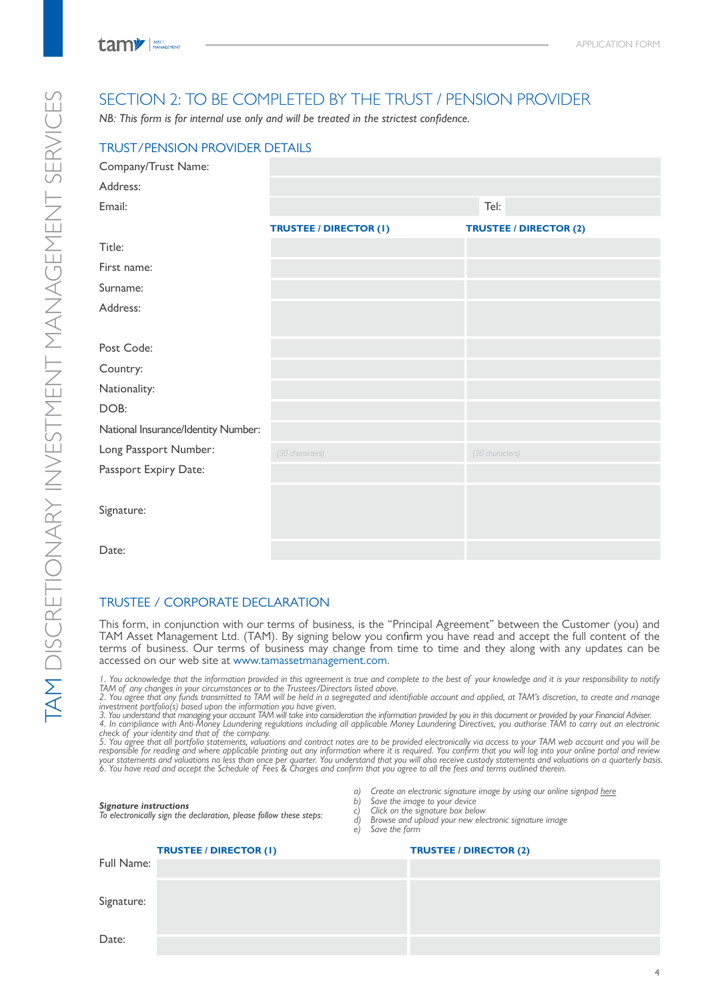# SECTION 2: TO BE COMPLETED BY THE TRUST / PENSION PROVIDER

*NB: This form is for internal use only and will be treated in the strictest confidence.*

| <b>TRUST/PENSION PROVIDER DETAILS</b> |                               |                               |
|---------------------------------------|-------------------------------|-------------------------------|
| Company/Trust Name:                   |                               |                               |
| Address:                              |                               |                               |
| Email:                                |                               | Tel:                          |
|                                       | <b>TRUSTEE / DIRECTOR (I)</b> | <b>TRUSTEE / DIRECTOR (2)</b> |
| Title:                                |                               |                               |
| First name:                           |                               |                               |
| Surname:                              |                               |                               |
| Address:                              |                               |                               |
| Post Code:                            |                               |                               |
| Country:                              |                               |                               |
| Nationality:                          |                               |                               |
| DOB:                                  |                               |                               |
| National Insurance/Identity Number:   |                               |                               |
| Long Passport Number:                 | (30 characters)               | (30 characters)               |
| Passport Expiry Date:                 |                               |                               |
| Signature:                            |                               |                               |
| Date:                                 |                               |                               |

# TRUSTEE / CORPORATE DECLARATION

This form, in conjunction with our terms of business, is the "Principal Agreement" between the Customer (you) and TAM Asset Management Ltd. (TAM). By signing below you confirm you have read and accept the full content of the terms of business. Our terms of business may change from time to time and they along with any updates can be accessed on our web site at www.tamassetmanagement.com.

I. You acknowledge that the information provided in this agreement is true and complete to the best of your knowledge and it is your responsibility to notify<br>TAM of any changes in your circumstances or to the Trustees/Dire

investment portfolio(s) based upon the information you have given.<br>3. You understand that managing your account TAM will take into consideration the information provided by you in this document or provided by your Financia

|  | <b>Signature instructions</b> |
|--|-------------------------------|
|--|-------------------------------|

|  |  | a) Create an electronic signature image by using our online signpad here |  |  |  |  |
|--|--|--------------------------------------------------------------------------|--|--|--|--|
|  |  |                                                                          |  |  |  |  |
|  |  |                                                                          |  |  |  |  |
|  |  |                                                                          |  |  |  |  |
|  |  |                                                                          |  |  |  |  |

*b) Save the image to your device c) Click on the signature box below*

*Signature instructions To electronically sign the declaration, please follow these steps:*

| $\mathcal{d}$ | Browse and upload your new electronic signature image |
|---------------|-------------------------------------------------------|
|               | e) Save the form                                      |

|            | <b>TRUSTEE / DIRECTOR (I)</b> | <b>TRUSTEE / DIRECTOR (2)</b> |
|------------|-------------------------------|-------------------------------|
| Full Name: |                               |                               |
|            |                               |                               |
| Signature: |                               |                               |
|            |                               |                               |
| Date:      |                               |                               |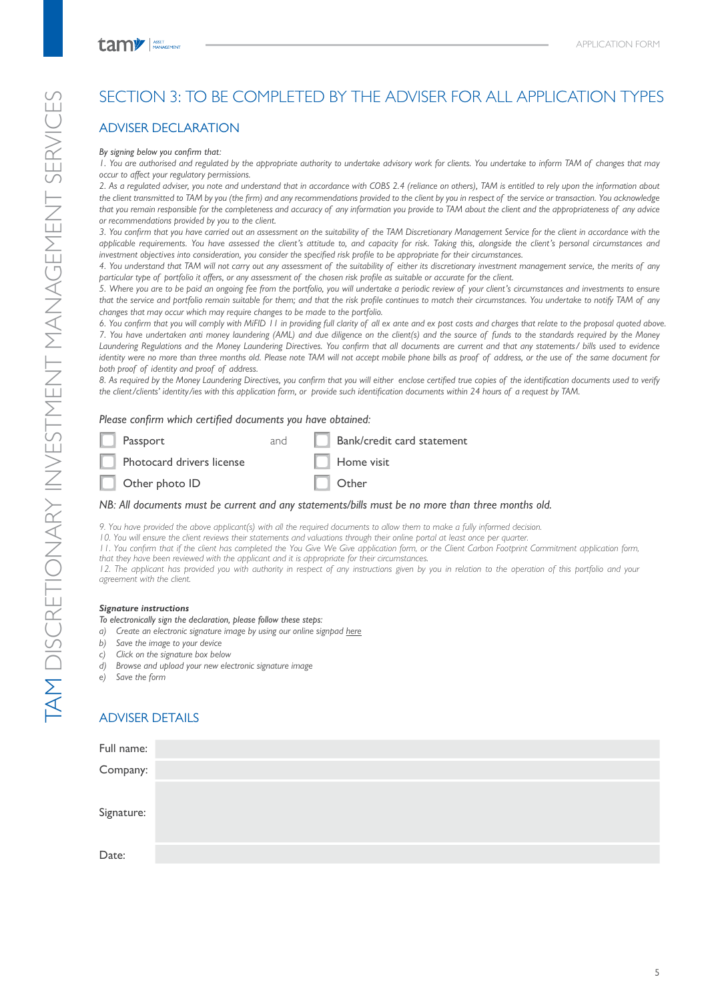# SECTION 3: TO BE COMPLETED BY THE ADVISER FOR ALL APPLICATION TYPES

# ADVISER DECLARATION

#### *By signing below you confirm that:*

*1. You are authorised and regulated by the appropriate authority to undertake advisory work for clients. You undertake to inform TAM of changes that may occur to affect your regulatory permissions.*

*2. As a regulated adviser, you note and understand that in accordance with COBS 2.4 (reliance on others), TAM is entitled to rely upon the information about the client transmitted to TAM by you (the firm) and any recommendations provided to the client by you in respect of the service or transaction. You acknowledge that you remain responsible for the completeness and accuracy of any information you provide to TAM about the client and the appropriateness of any advice or recommendations provided by you to the client.*

*3. You confirm that you have carried out an assessment on the suitability of the TAM Discretionary Management Service for the client in accordance with the applicable requirements. You have assessed the client's attitude to, and capacity for risk. Taking this, alongside the client's personal circumstances and investment objectives into consideration, you consider the specified risk profile to be appropriate for their circumstances.*

*4. You understand that TAM will not carry out any assessment of the suitability of either its discretionary investment management service, the merits of any particular type of portfolio it offers, or any assessment of the chosen risk profile as suitable or accurate for the client.*

*5. Where you are to be paid an ongoing fee from the portfolio, you will undertake a periodic review of your client's circumstances and investments to ensure that the service and portfolio remain suitable for them; and that the risk profile continues to match their circumstances. You undertake to notify TAM of any changes that may occur which may require changes to be made to the portfolio.*

*6. You confirm that you will comply with MiFID 11 in providing full clarity of all ex ante and ex post costs and charges that relate to the proposal quoted above. 7. You have undertaken anti money laundering (AML) and due diligence on the client(s) and the source of funds to the standards required by the Money Laundering Regulations and the Money Laundering Directives. You confirm that all documents are current and that any statements/ bills used to evidence identity were no more than three months old. Please note TAM will not accept mobile phone bills as proof of address, or the use of the same document for both proof of identity and proof of address.*

*8. As required by the Money Laundering Directives, you confirm that you will either enclose certified true copies of the identification documents used to verify the client/clients' identity/ies with this application form, or provide such identification documents within 24 hours of a request by TAM.*

### *Please confirm which certified documents you have obtained:*

| $\Box$ Passport           | and | Bank/credit card statement |
|---------------------------|-----|----------------------------|
| Photocard drivers license |     | $\Box$ Home visit          |
| $\Box$ Other photo ID     |     | $\Box$ Other               |
|                           |     |                            |

### *NB: All documents must be current and any statements/bills must be no more than three months old.*

*9. You have provided the above applicant(s) with all the required documents to allow them to make a fully informed decision.*

*10. You will ensure the client reviews their statements and valuations through their online portal at least once per quarter.*

*11. You confirm that if the client has completed the You Give We Give application form, or the Client Carbon Footprint Commitment application form, that they have been reviewed with the applicant and it is appropriate for their circumstances.*

12. The applicant has provided you with authority in respect of any instructions given by you in relation to the operation of this portfolio and your *agreement with the client.*

### *Signature instructions*

*To electronically sign the declaration, please follow these steps:*

- *a) Create an electronic signature image by using our online signpad here*
- *b) Save the image to your device*
- *c) Click on the signature box below*
- *d) Browse and upload your new electronic signature image*
- *e) Save the form*

# ADVISER DETAILS

| Full name: |  |
|------------|--|
| Company:   |  |
|            |  |
| Signature: |  |
|            |  |
| Date:      |  |
|            |  |